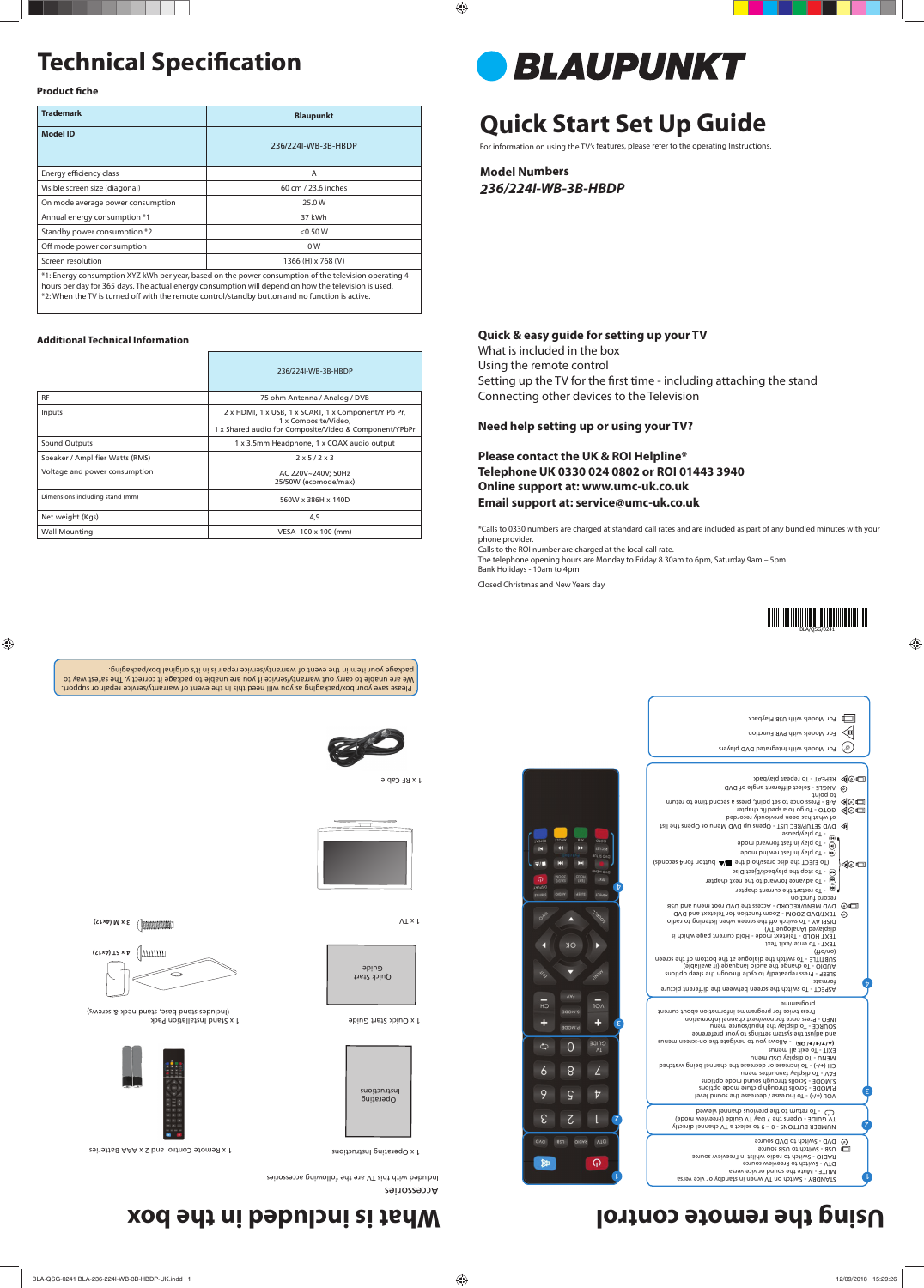# **Technical Specification**

**Product fiche** 

# **Quick Start Set Up Guide**

For information on using the TV's features, please refer to the operating Instructions.

**Model Numbers** *236/224I-WB-3B-HBDP*

|                                 | 236/224I-WB-3B-HBDP                                                                                                                    |
|---------------------------------|----------------------------------------------------------------------------------------------------------------------------------------|
| RF                              | 75 ohm Antenna / Analog / DVB                                                                                                          |
| Inputs                          | 2 x HDMI, 1 x USB, 1 x SCART, 1 x Component/Y Pb Pr,<br>1 x Composite/Video,<br>1 x Shared audio for Composite/Video & Component/YPbPr |
| Sound Outputs                   | 1 x 3.5mm Headphone, 1 x COAX audio output                                                                                             |
| Speaker / Amplifier Watts (RMS) | $2 \times 5/2 \times 3$                                                                                                                |
| Voltage and power consumption   | AC 220V~240V; 50Hz<br>25/50W (ecomode/max)                                                                                             |
| Dimensions including stand (mm) | 560W x 386H x 140D                                                                                                                     |
| Net weight (Kgs)                | 4,9                                                                                                                                    |
| <b>Wall Mounting</b>            | VESA 100 x 100 (mm)                                                                                                                    |

BLAUPUNKT

Quick Start əpinə

| <b>Trademark</b>                  | <b>Blaupunkt</b>                                                                                      |  |
|-----------------------------------|-------------------------------------------------------------------------------------------------------|--|
| <b>Model ID</b>                   | 236/224I-WB-3B-HBDP                                                                                   |  |
| Energy efficiency class           | A                                                                                                     |  |
| Visible screen size (diagonal)    | 60 cm / 23.6 inches                                                                                   |  |
| On mode average power consumption | 25.0 W                                                                                                |  |
| Annual energy consumption *1      | 37 kWh                                                                                                |  |
| Standby power consumption *2      | $<$ 0.50 W                                                                                            |  |
| Off mode power consumption        | 0W                                                                                                    |  |
| Screen resolution                 | 1366 (H) x 768 (V)                                                                                    |  |
|                                   | *1: Energy consumption XYZ kWh per year, based on the power consumption of the television operating 4 |  |

hours per day for 365 days. The actual energy consumption will depend on how the television is used. \*2: When the TV is turned off with the remote control/standby button and no function is active.

Please save your box/packaging as you will need this in the event of warranty/service repair or support. We are unable to carry out warranty/service if you are unable to package it correctly. The safest way to package your item in the event of warranty/therisew to the end in meti up yepshaq.



#### **Additional Technical Information**



Accessories

Included with this TV are the following accessories

STANDBY - Switch on TV when in standby or vice versa MUTE - Mute the sound or vice versa DVD - Switch to DVD source<br>RAD - Switch to radio whilst in Freeview source<br>RAD - Switch to radio whilst in Freeview source<br>RAD - Switch to DVD source

1 x Operating Instructions

1 x Remote Control and 2 x AAA Batteries



Operating Instructions

1 x Quick Start Guide

1 x RF Cable

 $\Lambda\perp\times\mathsf{I}$ 





**(ΣΙΧΡ)** Μ × Ε ( **MANAHAMAL** 

 $\liminf$   $\limsup$ 

### **Using the remote control community is included in the box**

1 x Stand Installation Pack (Includes stand base, stand neck & screws)



#### **Quick & easy guide for setting up your TV**

What is included in the box Using the remote control Setting up the TV for the first time - including attaching the stand Connecting other devices to the Television

|                                                                                                        | For Models with USB Playback                                                                                                                                                                                                                                                                                                                                                                                                                                                                                                                                                                                                                                                                                                                                                                                                                                                                                                                                                                   |                            |
|--------------------------------------------------------------------------------------------------------|------------------------------------------------------------------------------------------------------------------------------------------------------------------------------------------------------------------------------------------------------------------------------------------------------------------------------------------------------------------------------------------------------------------------------------------------------------------------------------------------------------------------------------------------------------------------------------------------------------------------------------------------------------------------------------------------------------------------------------------------------------------------------------------------------------------------------------------------------------------------------------------------------------------------------------------------------------------------------------------------|----------------------------|
|                                                                                                        | For Models with PVR Function                                                                                                                                                                                                                                                                                                                                                                                                                                                                                                                                                                                                                                                                                                                                                                                                                                                                                                                                                                   | Q∎                         |
|                                                                                                        | For Models with Integrated DVD players                                                                                                                                                                                                                                                                                                                                                                                                                                                                                                                                                                                                                                                                                                                                                                                                                                                                                                                                                         |                            |
|                                                                                                        |                                                                                                                                                                                                                                                                                                                                                                                                                                                                                                                                                                                                                                                                                                                                                                                                                                                                                                                                                                                                |                            |
| OIOS<br>REC UST<br>DVD SETUP<br>Ы<br><b>UVBM GVO</b><br>HG<br>GEI<br>TX31<br>t<br>215<br><b>ASPECT</b> | REPEAT - To repeat playback<br>ANGLE - Select different angle of DVD<br>to point<br>muther of each once to set point, press a second time to return<br>To QD o COLO - To go to a specific chapter<br>of what has been previously recorded<br>DVD SETUP/REC LIST - Opens up DVD Menu or Opens the list<br>- To play/pause<br>(IR)<br>bom biswiot tast ni valq oT - (<br>ebom bniwen tast ni valq oT - (*)<br>(abnobes A rot nottud All sht blod asib sht TJ3L3 oT)<br>$\cup$ - To stop the playback/Eject Disc<br>To advance forward to the next chapter<br>- To restart the current chapter<br>record function<br>DVD MENU/RECORD - Access the DVD root menu and USB<br>TEXT/DVD ZOOM - Zoom function for Teletext and DVD<br>DISPLAY - To switch off the screen when listening to radio<br>(VT supolsnA) beysiqaib<br>TEXT HOLD - Teletext mode - Hold current page which is<br>TEXT - To enter/exit Text<br>$(\mu o/\nu o)$<br>subtifie - To switch the dialogue at the bottom of the screen | ◀◎□<br>⊙<br>◀◎□<br>0□<br>⊙ |
|                                                                                                        | (eldslisvs ti) epsupnsl oibus ent epnsnb oT - OldUA                                                                                                                                                                                                                                                                                                                                                                                                                                                                                                                                                                                                                                                                                                                                                                                                                                                                                                                                            |                            |

### **Need help setting up or using your TV?**

**Please contact the UK & ROI Helpline\* Telephone UK 0330 024 0802 or ROI 01443 3940 Online support at: www.umc-uk.co.uk Email support at: service@umc-uk.co.uk**

\*Calls to 0330 numbers are charged at standard call rates and are included as part of any bundled minutes with your phone provider.

Calls to the ROI number are charged at the local call rate.

The telephone opening hours are Monday to Friday 8.30am to 6pm, Saturday 9am – 5pm. Bank Holidays - 10am to 4pm

Closed Christmas and New Years day

NUMBER BUTTONS - 0 – 9 to select a TV channel directly. TV GUIDE - Opens the 7 Day TV Guide (Freeview mode) - To return to the previous channel viewed

) - To increase / decrease the sound level **+/-** VOL ( P.MODE - Scrolls through picture mode options S.MODE - Scrolls through sound mode options FAV - To display favourites menu ) - To increase or decrease the channel being watched **+/-** CH ( MENU - To display OSD menu EXIT - To exit all menus (A/v/l=/b/ OK) - Allows you to navigate the on-screen menus and adjust the system settings to your preference SOURCE - To display the input/source menu

INFO - Press once for now/next channel information Press twice for programme information about current programme

ASPECT - To switch the screen between the different picture formats SLEEP - Press repeatedly to cycle through the sleep options

 $\overline{H}$  $\overline{10}$ ۰ ٤  $\zeta$  $\overline{0}$ 8  $\angle$  $\ddot{\delta}$  $\varsigma$  $\overline{v}$ ε  $\mathcal{L}$  $\mathbb{R}$ 2 **ASD** Oldas VTQ ୍କର 欧

1

2

l

٤

 $\bm{\mathrm{b}}$